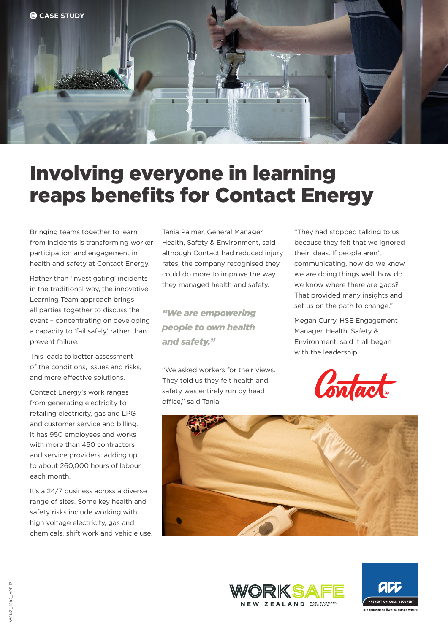

## Involving everyone in learning reaps benefits for Contact Energy

Bringing teams together to learn from incidents is transforming worker participation and engagement in health and safety at Contact Energy.

Rather than 'investigating' incidents in the traditional way, the innovative Learning Team approach brings all parties together to discuss the event – concentrating on developing a capacity to 'fail safely' rather than prevent failure.

This leads to better assessment of the conditions, issues and risks, and more effective solutions.

Contact Energy's work ranges from generating electricity to retailing electricity, gas and LPG and customer service and billing. It has 950 employees and works with more than 450 contractors and service providers, adding up to about 260,000 hours of labour each month.

It's a 24/7 business across a diverse range of sites. Some key health and safety risks include working with high voltage electricity, gas and chemicals, shift work and vehicle use.

Tania Palmer, General Manager Health, Safety & Environment, said although Contact had reduced injury rates, the company recognised they could do more to improve the way they managed health and safety.

*"We are empowering people to own health and safety."*

"We asked workers for their views. They told us they felt health and safety was entirely run by head office," said Tania.

"They had stopped talking to us because they felt that we ignored their ideas. If people aren't communicating, how do we know we are doing things well, how do we know where there are gaps? That provided many insights and set us on the path to change."

Megan Curry, HSE Engagement Manager, Health, Safety & Environment, said it all began with the leadership.